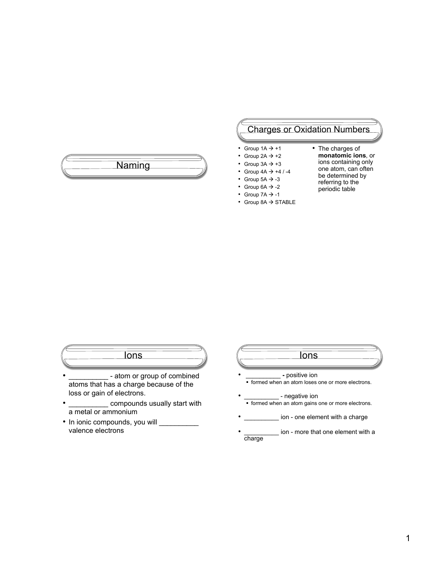# Naming

# Charges or Oxidation Numbers

- Group  $1A \rightarrow +1$
- Group  $2A \rightarrow +2$
- Group  $3A \rightarrow +3$
- Group  $4A \rightarrow +4$  / -4
- Group  $5A \rightarrow -3$
- Group  $6A \rightarrow -2$
- Group  $7A \rightarrow -1$
- $\cdot$  Group 8A  $\rightarrow$  STABLE
- The charges of **monatomic ions**, or
	- ions containing only
	- one atom, can often be determined by
	- referring to the
	- periodic table
- 

**Ions** 

- atom or group of combined atoms that has a charge because of the loss or gain of electrons.
- \_\_\_\_\_\_\_\_\_\_ compounds usually start with a metal or ammonium
- In ionic compounds, you will \_\_\_\_\_\_\_\_\_\_ valence electrons
- Ions • \_\_\_\_\_\_\_\_\_\_ **-** positive ion **formed when an atom loses one or more electrons.** - negative ion **formed when an atom gains one or more electrons.** ion - one element with a charge ion - more that one element with a charge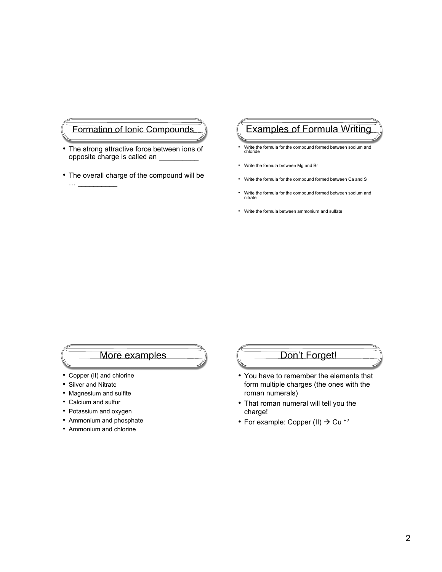# Formation of Ionic Compounds

- The strong attractive force between ions of opposite charge is called an \_\_\_\_\_\_\_\_\_\_
- The overall charge of the compound will be

# Examples of Formula Writing

- Write the formula for the compound formed between sodium and chloride
- Write the formula between Mg and Br
- Write the formula for the compound formed between Ca and S
- Write the formula for the compound formed between sodium and nitrate
- Write the formula between ammonium and sulfate

### More examples

- Copper (II) and chlorine
- Silver and Nitrate

 $\ldots$ 

- Magnesium and sulfite
- Calcium and sulfur
- Potassium and oxygen
- Ammonium and phosphate
- Ammonium and chlorine

# Don't Forget!

- You have to remember the elements that form multiple charges (the ones with the roman numerals)
- That roman numeral will tell you the charge!
- For example: Copper (II)  $\rightarrow$  Cu<sup>+2</sup>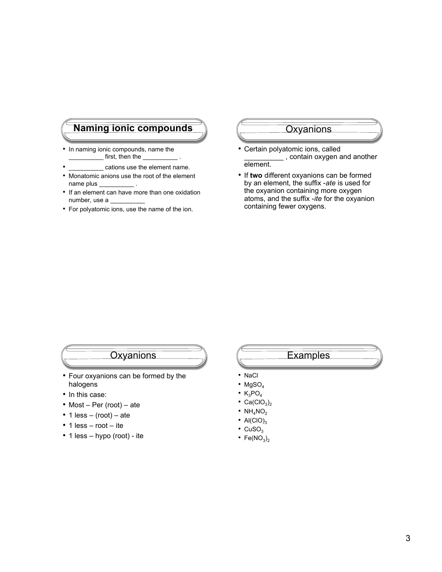# **Naming ionic compounds**  $\sqrt{}$   $\sqrt{}$  Oxyanions

- In naming ionic compounds, name the first, then the
- cations use the element name.
- Monatomic anions use the root of the element name plus \_
- If an element can have more than one oxidation number, use a \_\_\_\_\_\_\_\_\_\_
- For polyatomic ions, use the name of the ion.

- Certain polyatomic ions, called \_\_\_\_\_\_\_\_\_\_ , contain oxygen and another element.
- If **two** different oxyanions can be formed by an element, the suffix -*ate* is used for the oxyanion containing more oxygen atoms, and the suffix -*ite* for the oxyanion containing fewer oxygens.

- Four oxyanions can be formed by the halogens
- In this case:
- Most Per (root) ate
- 1  $less (root) ate$
- 1 less root ite
- 1 less hypo (root) ite

### Oxyanions (Examples

- NaCl
- $MgSO<sub>4</sub>$
- $\cdot$  K<sub>3</sub>PO<sub>4</sub>
- $Ca(CIO<sub>3</sub>)<sub>2</sub>$
- $NH<sub>4</sub>NO<sub>2</sub>$
- Al(ClO)<sub>3</sub>
- $\cdot$  CuSO<sub>3</sub>
- Fe( $NO<sub>3</sub>$ )<sub>2</sub>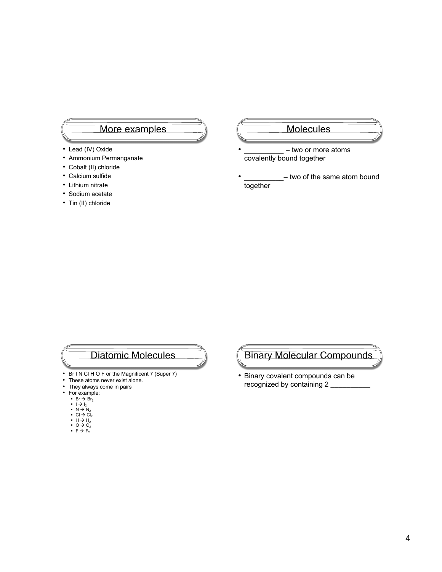### More examples

- Lead (IV) Oxide
- Ammonium Permanganate
- Cobalt (II) chloride
- Calcium sulfide
- Lithium nitrate
- Sodium acetate
- Tin (II) chloride

#### Molecules

- **\_\_\_\_\_\_\_\_\_\_** two or more atoms covalently bound together
- **\_\_\_\_\_\_\_\_\_\_** two of the same atom bound together

# Diatomic Molecules

- Br I N CI H O F or the Magnificent 7 (Super 7)<br>• These atoms never exist alone.
- These atoms never exist alone.<br>• They always come in pairs
- They always come in pairs<br>• For example:
- For example:
- 
- 
- 
- Br → Br<sub>2</sub><br>■ l → l<sub>2</sub><br>■ N → N<sub>2</sub><br>■ Cl → Cl<sub>2</sub><br>■ H → H<sub>2</sub><br>■ O → O<sub>2</sub>
- $\overline{F}$  +  $\overline{F}_2$

# Binary Molecular Compounds

• Binary covalent compounds can be recognized by containing 2 **\_\_\_\_\_\_\_\_\_\_**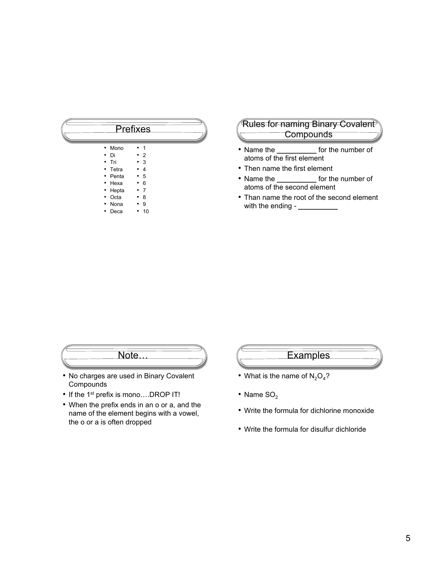#### Prefixes • Mono • Di • Tri • Tetra • Penta • 1 • 2 • 3 • 4 • 5 • 6

- Hexa • 7
- Hepta
- Octa • Nona • 8
- Deca • 9 • 10

### Rules for naming Binary Covalent **Compounds**

- Name the **\_\_\_\_\_\_\_\_\_\_** for the number of atoms of the first element
- Then name the first element
- Name the **\_\_\_\_\_\_\_\_\_\_** for the number of atoms of the second element
- Than name the root of the second element with the ending *-* **\_\_\_\_\_\_\_\_\_\_**



- No charges are used in Binary Covalent Compounds
- If the 1<sup>st</sup> prefix is mono....DROP IT!
- When the prefix ends in an o or a, and the name of the element begins with a vowel, the o or a is often dropped

# **Examples**

- What is the name of  $N_2O_4$ ?
- Name  $SO<sub>2</sub>$
- Write the formula for dichlorine monoxide
- Write the formula for disulfur dichloride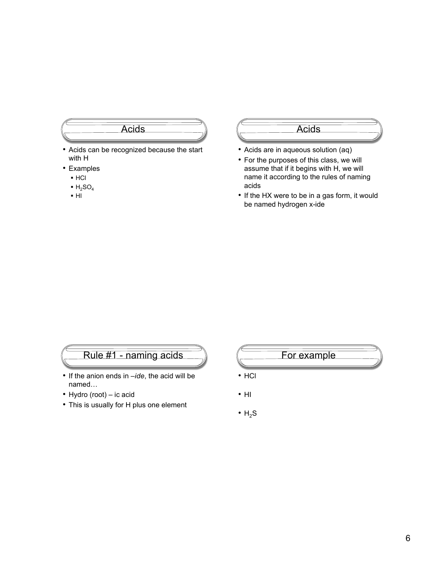# Acids

- Acids can be recognized because the start with H
- Examples
	- HCl
	- $-H<sub>2</sub>SO<sub>4</sub>$
	- $H<sub>H</sub>$

#### Acids

- Acids are in aqueous solution (aq)
- For the purposes of this class, we will assume that if it begins with H, we will name it according to the rules of naming acids
- If the HX were to be in a gas form, it would be named hydrogen x-ide

# Rule #1 - naming acids

- If the anion ends in *–ide*, the acid will be named…
- Hydro (root) ic acid
- This is usually for H plus one element

# For example

- HCl
- HI
- $\cdot$  H<sub>2</sub>S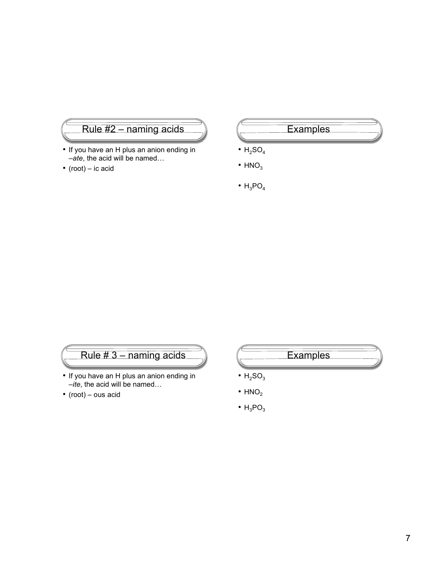# Rule #2 – naming acids

- If you have an H plus an anion ending in *–ate*, the acid will be named…
- (root) ic acid

# **Examples**

- $\bullet$  H<sub>2</sub>SO<sub>4</sub>
- $\cdot$  HNO<sub>3</sub>
- $\cdot$  H<sub>3</sub>PO<sub>4</sub>

# Rule # 3 – naming acids

- If you have an H plus an anion ending in *–ite*, the acid will be named…
- (root) ous acid

# **Examples**

- $\cdot$  H<sub>2</sub>SO<sub>3</sub>
- $\cdot$  HNO<sub>2</sub>
- $\cdot$  H<sub>3</sub>PO<sub>3</sub>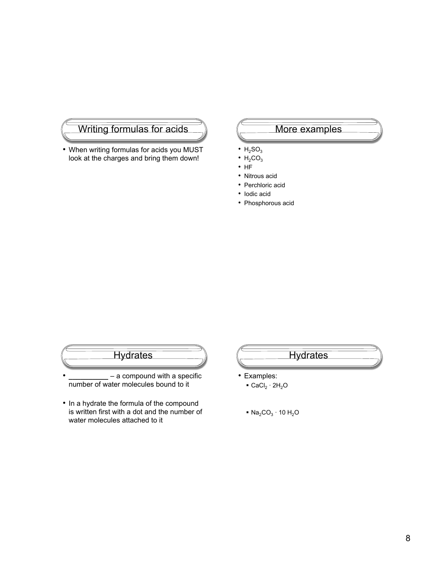# Writing formulas for acids

• When writing formulas for acids you MUST look at the charges and bring them down!

# More examples

- $\cdot$  H<sub>2</sub>SO<sub>3</sub>
- $\cdot$  H<sub>2</sub>CO<sub>3</sub>
- HF
- Nitrous acid
- Perchloric acid
- Iodic acid
- Phosphorous acid

# **Hydrates**

- **\_\_\_\_\_\_\_\_\_\_** a compound with a specific number of water molecules bound to it
- In a hydrate the formula of the compound is written first with a dot and the number of water molecules attached to it

# **Hydrates**

- Examples:
	- $\bullet$  CaCl<sub>2</sub> · 2H<sub>2</sub>O
	- $\blacksquare$  Na<sub>2</sub>CO<sub>3</sub> · 10 H<sub>2</sub>O